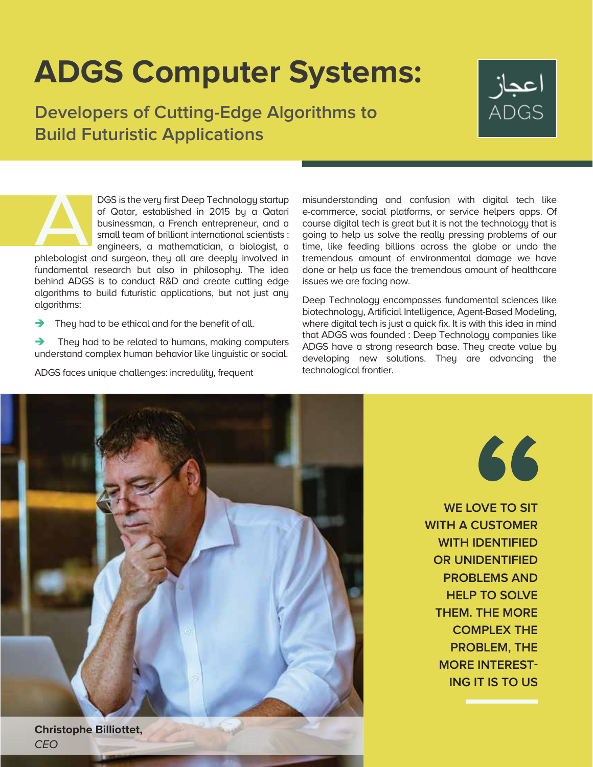## **ADGS Computer Systems:**

**Developers of Cutting-Edge Algorithms to Build Futuristic Applications**



DGS is the very first Deep Technology startup of Qatar, established in 2015 by a Qatari businessman, a French entrepreneur, and a small team of brilliant international scientists : engineers, a mathematician, a biologist, a

phlebologist and surgeon, they all are deeply involved in fundamental research but also in philosophy. The idea behind ADGS is to conduct R&D and create cutting edge algorithms to build futuristic applications, but not just any algorithms:

 $\rightarrow$  They had to be ethical and for the benefit of all.

 They had to be related to humans, making computers understand complex human behavior like linguistic or social.

ADGS faces unique challenges: incredulity, frequent

misunderstanding and confusion with digital tech like e-commerce, social platforms, or service helpers apps. Of course digital tech is great but it is not the technology that is going to help us solve the really pressing problems of our time, like feeding billions across the globe or undo the tremendous amount of environmental damage we have done or help us face the tremendous amount of healthcare issues we are facing now.

Deep Technology encompasses fundamental sciences like biotechnology, Artificial Intelligence, Agent-Based Modeling, where digital tech is just a quick fix. It is with this idea in mind that ADGS was founded : Deep Technology companies like ADGS have a strong research base. They create value by developing new solutions. They are advancing the technological frontier.



66

**WE LOVE TO SIT WITH A CUSTOMER WITH IDENTIFIED OR UNIDENTIFIED PROBLEMS AND HELP TO SOLVE THEM. THE MORE COMPLEX THE PROBLEM, THE MORE INTEREST-ING IT IS TO US**